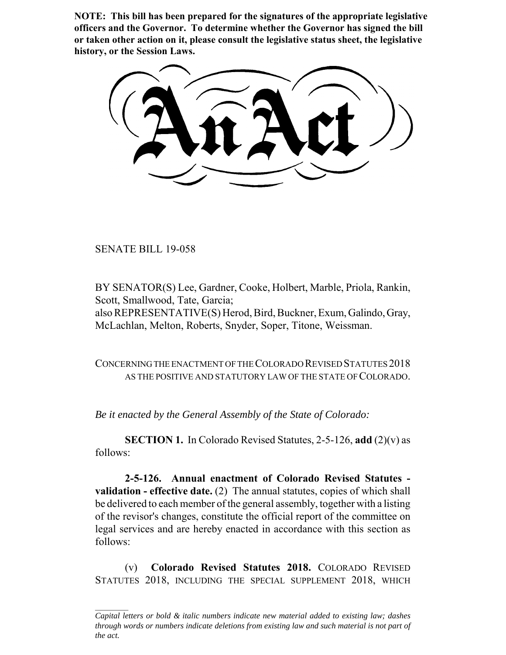**NOTE: This bill has been prepared for the signatures of the appropriate legislative officers and the Governor. To determine whether the Governor has signed the bill or taken other action on it, please consult the legislative status sheet, the legislative history, or the Session Laws.**

SENATE BILL 19-058

BY SENATOR(S) Lee, Gardner, Cooke, Holbert, Marble, Priola, Rankin, Scott, Smallwood, Tate, Garcia; also REPRESENTATIVE(S) Herod, Bird, Buckner, Exum, Galindo, Gray, McLachlan, Melton, Roberts, Snyder, Soper, Titone, Weissman.

CONCERNING THE ENACTMENT OF THE COLORADO REVISED STATUTES 2018 AS THE POSITIVE AND STATUTORY LAW OF THE STATE OF COLORADO.

*Be it enacted by the General Assembly of the State of Colorado:*

**SECTION 1.** In Colorado Revised Statutes, 2-5-126, **add** (2)(v) as follows:

**2-5-126. Annual enactment of Colorado Revised Statutes validation - effective date.** (2) The annual statutes, copies of which shall be delivered to each member of the general assembly, together with a listing of the revisor's changes, constitute the official report of the committee on legal services and are hereby enacted in accordance with this section as follows:

(v) **Colorado Revised Statutes 2018.** COLORADO REVISED STATUTES 2018, INCLUDING THE SPECIAL SUPPLEMENT 2018, WHICH

*Capital letters or bold & italic numbers indicate new material added to existing law; dashes through words or numbers indicate deletions from existing law and such material is not part of the act.*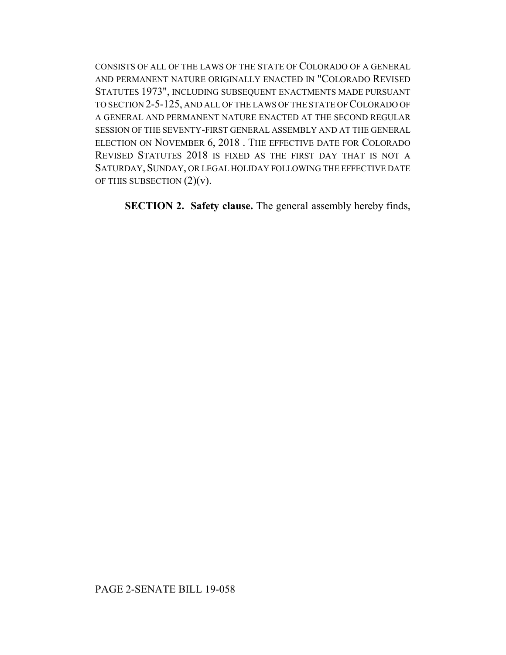CONSISTS OF ALL OF THE LAWS OF THE STATE OF COLORADO OF A GENERAL AND PERMANENT NATURE ORIGINALLY ENACTED IN "COLORADO REVISED STATUTES 1973", INCLUDING SUBSEQUENT ENACTMENTS MADE PURSUANT TO SECTION 2-5-125, AND ALL OF THE LAWS OF THE STATE OF COLORADO OF A GENERAL AND PERMANENT NATURE ENACTED AT THE SECOND REGULAR SESSION OF THE SEVENTY-FIRST GENERAL ASSEMBLY AND AT THE GENERAL ELECTION ON NOVEMBER 6, 2018 . THE EFFECTIVE DATE FOR COLORADO REVISED STATUTES 2018 IS FIXED AS THE FIRST DAY THAT IS NOT A SATURDAY, SUNDAY, OR LEGAL HOLIDAY FOLLOWING THE EFFECTIVE DATE OF THIS SUBSECTION  $(2)(v)$ .

**SECTION 2. Safety clause.** The general assembly hereby finds,